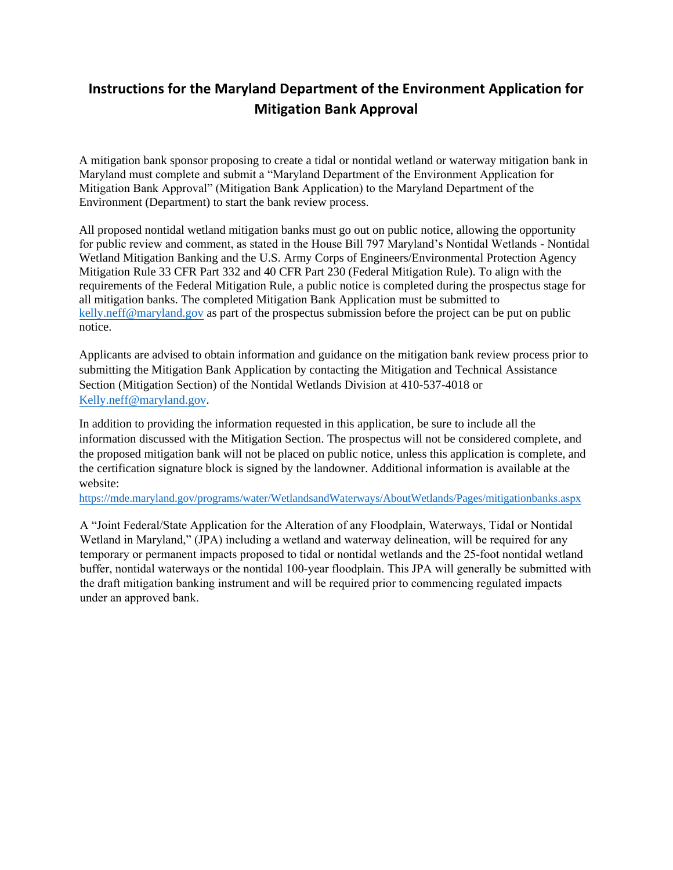# **Instructions for the Maryland Department of the Environment Application for Mitigation Bank Approval**

A mitigation bank sponsor proposing to create a tidal or nontidal wetland or waterway mitigation bank in Maryland must complete and submit a "Maryland Department of the Environment Application for Mitigation Bank Approval" (Mitigation Bank Application) to the Maryland Department of the Environment (Department) to start the bank review process.

All proposed nontidal wetland mitigation banks must go out on public notice, allowing the opportunity for public review and comment, as stated in the House Bill 797 Maryland's Nontidal Wetlands - Nontidal Wetland Mitigation Banking and the U.S. Army Corps of Engineers/Environmental Protection Agency Mitigation Rule 33 CFR Part 332 and 40 CFR Part 230 (Federal Mitigation Rule). To align with the requirements of the Federal Mitigation Rule, a public notice is completed during the prospectus stage for all mitigation banks. The completed Mitigation Bank Application must be submitted to [kelly.neff@maryland.gov](mailto:kelly.neff@maryland.gov) as part of the prospectus submission before the project can be put on public notice.

Applicants are advised to obtain information and guidance on the mitigation bank review process prior to submitting the Mitigation Bank Application by contacting the Mitigation and Technical Assistance Section (Mitigation Section) of the Nontidal Wetlands Division at 410-537-4018 or [Kelly.neff@maryland.gov.](mailto:Kelly.neff@maryland.gov)

In addition to providing the information requested in this application, be sure to include all the information discussed with the Mitigation Section. The prospectus will not be considered complete, and the proposed mitigation bank will not be placed on public notice, unless this application is complete, and the certification signature block is signed by the landowner. Additional information is available at the website:

[https://mde.maryland.gov/programs/water/WetlandsandWaterways/AboutWetlands/Pages/mitigationbank](https://mde.maryland.gov/programs/water/WetlandsandWaterways/AboutWetlands/Pages/mitigationbanks.aspx)s.aspx

A "Joint Federal/State Application for the Alteration of any Floodplain, Waterways, Tidal or Nontidal Wetland in Maryland," (JPA) including a wetland and waterway delineation, will be required for any temporary or permanent impacts proposed to tidal or nontidal wetlands and the 25-foot nontidal wetland buffer, nontidal waterways or the nontidal 100-year floodplain. This JPA will generally be submitted with the draft mitigation banking instrument and will be required prior to commencing regulated impacts under an approved bank.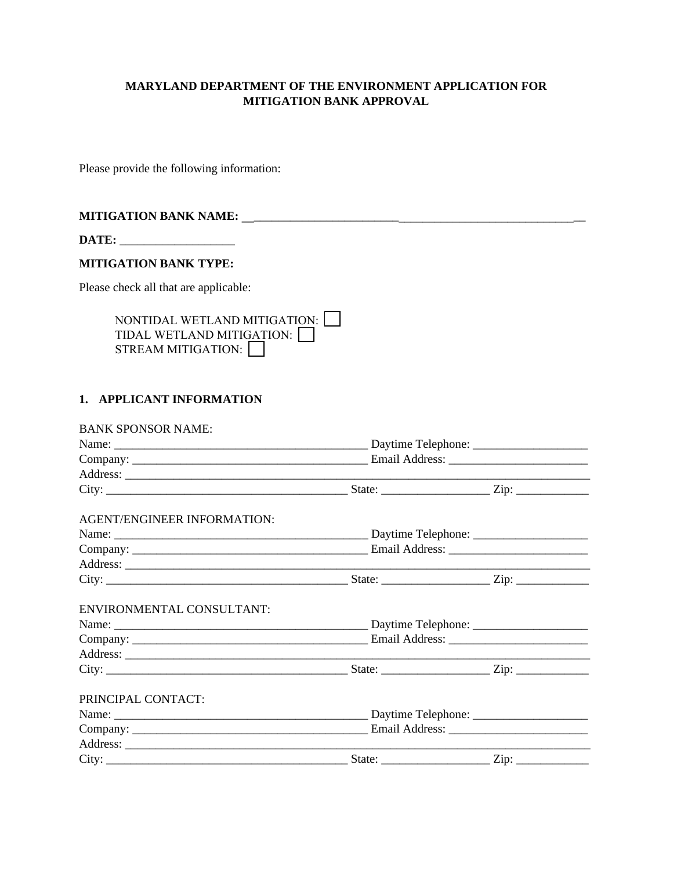## **MARYLAND DEPARTMENT OF THE ENVIRONMENT APPLICATION FOR MITIGATION BANK APPROVAL**

Please provide the following information:

## **MITIGATION BANK NAME: \_\_**\_\_\_\_\_\_\_\_\_\_\_\_\_\_\_\_\_\_\_\_\_\_\_\_\_\_\_\_\_\_\_\_\_\_\_\_\_\_\_\_\_\_\_\_\_\_\_\_\_\_\_\_\_\_\_

**DATE:** \_\_\_\_\_\_\_\_\_\_\_\_\_\_\_\_\_\_\_

## **MITIGATION BANK TYPE:**

Please check all that are applicable:

| NONTIDAL WETLAND MITIGATION: $\Box$ |  |
|-------------------------------------|--|
| TIDAL WETLAND MITIGATION:           |  |
| STREAM MITIGATION:                  |  |

## **1. APPLICANT INFORMATION**

| <b>BANK SPONSOR NAME:</b>   |  |  |  |
|-----------------------------|--|--|--|
|                             |  |  |  |
|                             |  |  |  |
|                             |  |  |  |
|                             |  |  |  |
| AGENT/ENGINEER INFORMATION: |  |  |  |
|                             |  |  |  |
|                             |  |  |  |
|                             |  |  |  |
|                             |  |  |  |
| ENVIRONMENTAL CONSULTANT:   |  |  |  |
|                             |  |  |  |
|                             |  |  |  |
|                             |  |  |  |
|                             |  |  |  |
| PRINCIPAL CONTACT:          |  |  |  |
|                             |  |  |  |
|                             |  |  |  |
|                             |  |  |  |
|                             |  |  |  |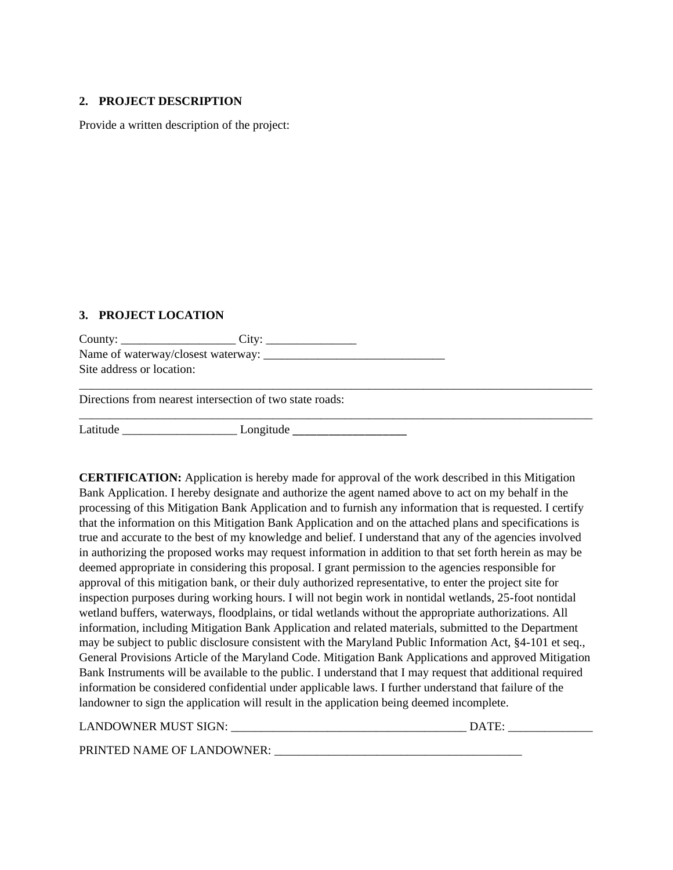#### **2. PROJECT DESCRIPTION**

Provide a written description of the project:

### **3. PROJECT LOCATION**

County: \_\_\_\_\_\_\_\_\_\_\_\_\_\_\_\_\_\_\_ City: \_\_\_\_\_\_\_\_\_\_\_\_\_\_\_ Name of waterway/closest waterway: \_\_\_\_\_\_\_\_\_\_\_\_\_\_\_\_\_\_\_\_\_\_\_\_\_\_\_\_\_\_ Site address or location:

Directions from nearest intersection of two state roads:

Latitude \_\_\_\_\_\_\_\_\_\_\_\_\_\_\_\_\_\_\_ Longitude \_\_\_\_\_\_\_\_\_\_\_\_\_\_\_\_\_\_\_

**CERTIFICATION:** Application is hereby made for approval of the work described in this Mitigation Bank Application. I hereby designate and authorize the agent named above to act on my behalf in the processing of this Mitigation Bank Application and to furnish any information that is requested. I certify that the information on this Mitigation Bank Application and on the attached plans and specifications is true and accurate to the best of my knowledge and belief. I understand that any of the agencies involved in authorizing the proposed works may request information in addition to that set forth herein as may be deemed appropriate in considering this proposal. I grant permission to the agencies responsible for approval of this mitigation bank, or their duly authorized representative, to enter the project site for inspection purposes during working hours. I will not begin work in nontidal wetlands, 25-foot nontidal wetland buffers, waterways, floodplains, or tidal wetlands without the appropriate authorizations. All information, including Mitigation Bank Application and related materials, submitted to the Department may be subject to public disclosure consistent with the Maryland Public Information Act, §4-101 et seq., General Provisions Article of the Maryland Code. Mitigation Bank Applications and approved Mitigation Bank Instruments will be available to the public. I understand that I may request that additional required information be considered confidential under applicable laws. I further understand that failure of the landowner to sign the application will result in the application being deemed incomplete.

\_\_\_\_\_\_\_\_\_\_\_\_\_\_\_\_\_\_\_\_\_\_\_\_\_\_\_\_\_\_\_\_\_\_\_\_\_\_\_\_\_\_\_\_\_\_\_\_\_\_\_\_\_\_\_\_\_\_\_\_\_\_\_\_\_\_\_\_\_\_\_\_\_\_\_\_\_\_\_\_\_\_\_\_\_

\_\_\_\_\_\_\_\_\_\_\_\_\_\_\_\_\_\_\_\_\_\_\_\_\_\_\_\_\_\_\_\_\_\_\_\_\_\_\_\_\_\_\_\_\_\_\_\_\_\_\_\_\_\_\_\_\_\_\_\_\_\_\_\_\_\_\_\_\_\_\_\_\_\_\_\_\_\_\_\_\_\_\_\_\_

| <b>LANDOWNER MUST SIGN:</b> | <b>DATE</b> |
|-----------------------------|-------------|
| PRINTED NAME OF LANDOWNER:  |             |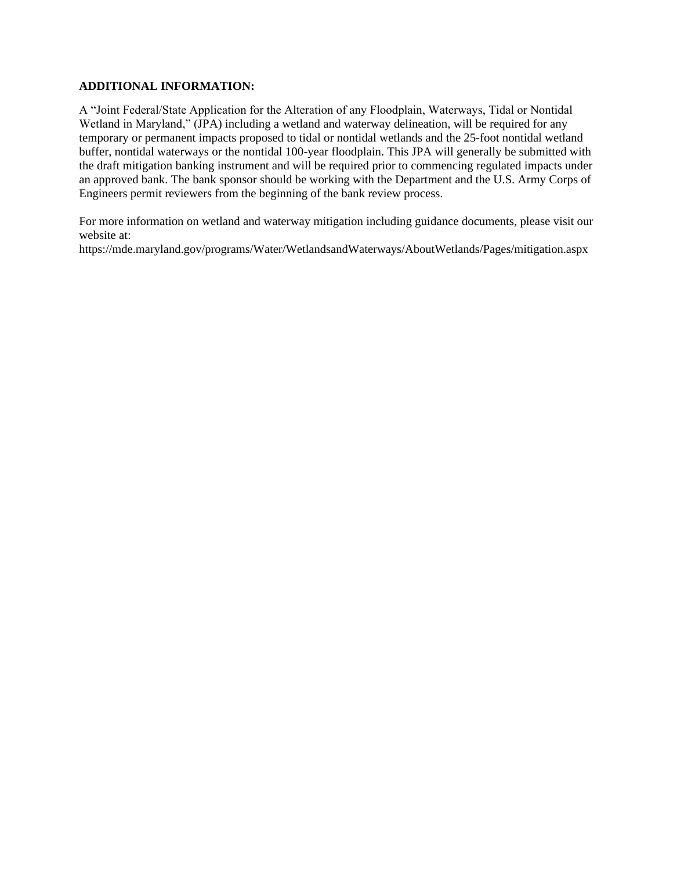#### **ADDITIONAL INFORMATION:**

A "Joint Federal/State Application for the Alteration of any Floodplain, Waterways, Tidal or Nontidal Wetland in Maryland," (JPA) including a wetland and waterway delineation, will be required for any temporary or permanent impacts proposed to tidal or nontidal wetlands and the 25-foot nontidal wetland buffer, nontidal waterways or the nontidal 100-year floodplain. This JPA will generally be submitted with the draft mitigation banking instrument and will be required prior to commencing regulated impacts under an approved bank. The bank sponsor should be working with the Department and the U.S. Army Corps of Engineers permit reviewers from the beginning of the bank review process.

For more information on wetland and waterway mitigation including guidance documents, please visit our website at:

[https://mde.maryland.gov/programs/Water/WetlandsandWaterways/AboutWetlands/Pages/mitigation.aspx](https://mde.maryland.gov/programs/water/WetlandsandWaterways/AboutWetlands/Pages/mitigationbanks.aspx)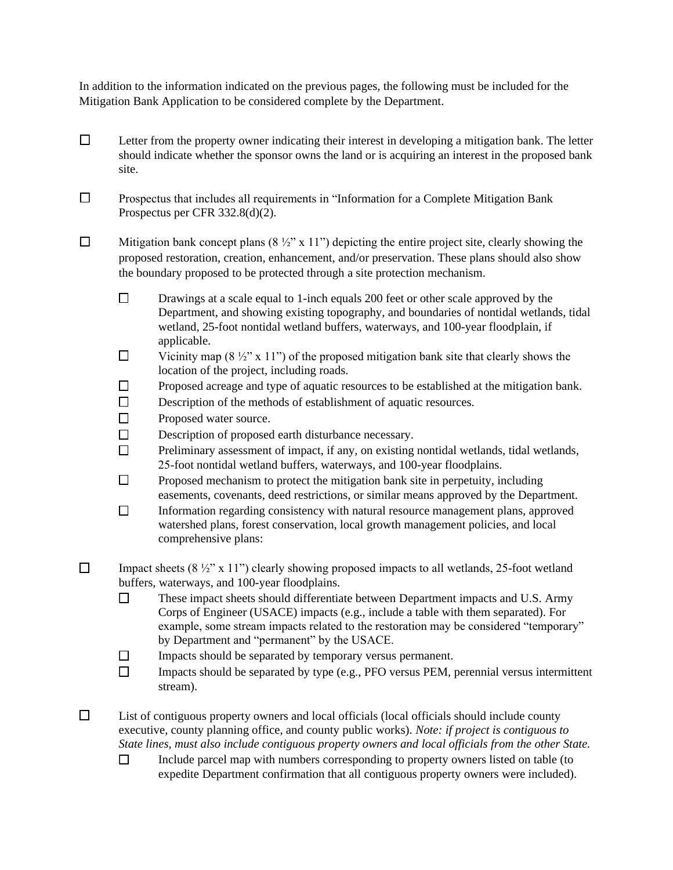In addition to the information indicated on the previous pages, the following must be included for the Mitigation Bank Application to be considered complete by the Department.

- $\Box$  Letter from the property owner indicating their interest in developing a mitigation bank. The letter should indicate whether the sponsor owns the land or is acquiring an interest in the proposed bank site.
- ☐ Prospectus that includes all requirements in "Information for a Complete Mitigation Bank Prospectus per CFR 332.8(d)(2).
- $\Box$  Mitigation bank concept plans (8 ½" x 11") depicting the entire project site, clearly showing the proposed restoration, creation, enhancement, and/or preservation. These plans should also show the boundary proposed to be protected through a site protection mechanism.
	- $\Box$  Drawings at a scale equal to 1-inch equals 200 feet or other scale approved by the Department, and showing existing topography, and boundaries of nontidal wetlands, tidal wetland, 25-foot nontidal wetland buffers, waterways, and 100-year floodplain, if applicable.
	- $\Box$  Vicinity map (8 ½" x 11") of the proposed mitigation bank site that clearly shows the location of the project, including roads.
	- ☐ Proposed acreage and type of aquatic resources to be established at the mitigation bank.
	- □ Description of the methods of establishment of aquatic resources.
	- □ Proposed water source.
	- □ Description of proposed earth disturbance necessary.
	- ☐ Preliminary assessment of impact, if any, on existing nontidal wetlands, tidal wetlands, 25-foot nontidal wetland buffers, waterways, and 100-year floodplains.
	- $\Box$  Proposed mechanism to protect the mitigation bank site in perpetuity, including easements, covenants, deed restrictions, or similar means approved by the Department.
	- □ Information regarding consistency with natural resource management plans, approved watershed plans, forest conservation, local growth management policies, and local comprehensive plans:
- $\Box$  Impact sheets (8  $\frac{1}{2}$ " x 11") clearly showing proposed impacts to all wetlands, 25-foot wetland buffers, waterways, and 100-year floodplains.
	- ☐ These impact sheets should differentiate between Department impacts and U.S. Army Corps of Engineer (USACE) impacts (e.g., include a table with them separated). For example, some stream impacts related to the restoration may be considered "temporary" by Department and "permanent" by the USACE.
	- ☐ Impacts should be separated by temporary versus permanent.
	- ☐ Impacts should be separated by type (e.g., PFO versus PEM, perennial versus intermittent stream).
- $\Box$  List of contiguous property owners and local officials (local officials should include county executive, county planning office, and county public works). *Note: if project is contiguous to State lines, must also include contiguous property owners and local officials from the other State.*
	- $\Box$  Include parcel map with numbers corresponding to property owners listed on table (to expedite Department confirmation that all contiguous property owners were included).